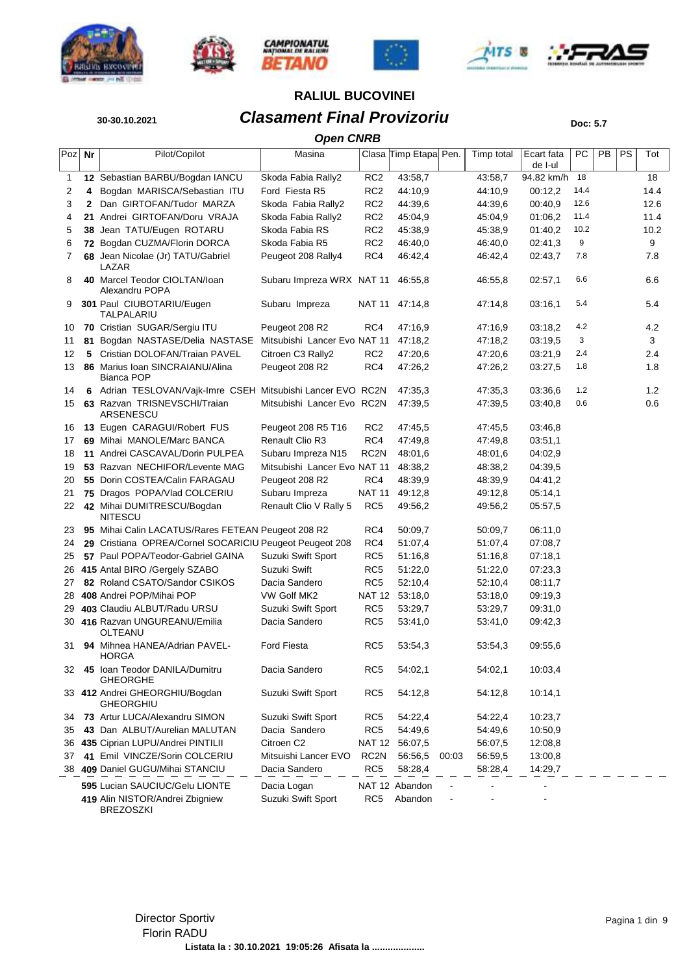











# **30-30.10.2021 Clasament Final Provizoriu Doc: 5.7**

|        | <b>Open CNRB</b> |                                                             |                              |                   |                       |       |            |                       |      |    |    |      |  |  |
|--------|------------------|-------------------------------------------------------------|------------------------------|-------------------|-----------------------|-------|------------|-----------------------|------|----|----|------|--|--|
| Poz Nr |                  | Pilot/Copilot                                               | Masina                       |                   | Clasa Timp Etapa Pen. |       | Timp total | Ecart fata<br>de I-ul | PC   | PB | PS | Tot  |  |  |
| 1      |                  | 12 Sebastian BARBU/Bogdan IANCU                             | Skoda Fabia Rally2           | RC <sub>2</sub>   | 43:58,7               |       | 43:58,7    | 94.82 km/h            | 18   |    |    | 18   |  |  |
| 2      | 4                | Bogdan MARISCA/Sebastian ITU                                | Ford Fiesta R5               | RC <sub>2</sub>   | 44:10,9               |       | 44:10,9    | 00:12,2               | 14.4 |    |    | 14.4 |  |  |
| 3      | $\mathbf{2}$     | Dan GIRTOFAN/Tudor MARZA                                    | Skoda Fabia Rally2           | RC <sub>2</sub>   | 44:39,6               |       | 44:39,6    | 00:40,9               | 12.6 |    |    | 12.6 |  |  |
| 4      |                  | 21 Andrei GIRTOFAN/Doru VRAJA                               | Skoda Fabia Rally2           | RC <sub>2</sub>   | 45:04,9               |       | 45:04,9    | 01:06.2               | 11.4 |    |    | 11.4 |  |  |
| 5      |                  | 38 Jean TATU/Eugen ROTARU                                   | Skoda Fabia RS               | RC <sub>2</sub>   | 45:38,9               |       | 45:38,9    | 01:40,2               | 10.2 |    |    | 10.2 |  |  |
| 6      |                  | 72 Bogdan CUZMA/Florin DORCA                                | Skoda Fabia R5               | RC <sub>2</sub>   | 46:40,0               |       | 46:40,0    | 02:41,3               | 9    |    |    | 9    |  |  |
| 7      |                  | 68 Jean Nicolae (Jr) TATU/Gabriel<br>LAZAR                  | Peugeot 208 Rally4           | RC4               | 46:42,4               |       | 46:42,4    | 02:43,7               | 7.8  |    |    | 7.8  |  |  |
| 8      |                  | 40 Marcel Teodor CIOLTAN/loan<br>Alexandru POPA             | Subaru Impreza WRX NAT 11    |                   | 46:55,8               |       | 46:55,8    | 02:57,1               | 6.6  |    |    | 6.6  |  |  |
| 9      |                  | 301 Paul CIUBOTARIU/Eugen<br>TALPALARIU                     | Subaru Impreza               | NAT 11            | 47:14,8               |       | 47:14,8    | 03:16,1               | 5.4  |    |    | 5.4  |  |  |
| 10     |                  | 70 Cristian SUGAR/Sergiu ITU                                | Peugeot 208 R2               | RC4               | 47:16,9               |       | 47:16,9    | 03:18,2               | 4.2  |    |    | 4.2  |  |  |
| 11     |                  | 81 Bogdan NASTASE/Delia NASTASE                             | Mitsubishi Lancer Evo NAT 11 |                   | 47:18,2               |       | 47:18,2    | 03:19,5               | 3    |    |    | 3    |  |  |
| 12     | 5                | Cristian DOLOFAN/Traian PAVEL                               | Citroen C3 Rally2            | RC <sub>2</sub>   | 47:20,6               |       | 47:20,6    | 03:21,9               | 2.4  |    |    | 2.4  |  |  |
| 13     |                  | 86 Marius Ioan SINCRAIANU/Alina<br>Bianca POP               | Peugeot 208 R2               | RC4               | 47:26,2               |       | 47:26,2    | 03:27,5               | 1.8  |    |    | 1.8  |  |  |
| 14     |                  | 6 Adrian TESLOVAN/Vajk-Imre CSEH Mitsubishi Lancer EVO RC2N |                              |                   | 47:35,3               |       | 47:35,3    | 03:36,6               | 1.2  |    |    | 1.2  |  |  |
| 15     |                  | 63 Razvan TRISNEVSCHI/Traian<br>ARSENESCU                   | Mitsubishi Lancer Evo RC2N   |                   | 47:39,5               |       | 47:39,5    | 03:40,8               | 0.6  |    |    | 0.6  |  |  |
| 16     |                  | 13 Eugen CARAGUI/Robert FUS                                 | Peugeot 208 R5 T16           | RC <sub>2</sub>   | 47:45,5               |       | 47:45,5    | 03:46,8               |      |    |    |      |  |  |
| 17     |                  | 69 Mihai MANOLE/Marc BANCA                                  | <b>Renault Clio R3</b>       | RC4               | 47:49,8               |       | 47:49.8    | 03:51,1               |      |    |    |      |  |  |
| 18     |                  | 11 Andrei CASCAVAL/Dorin PULPEA                             | Subaru Impreza N15           | RC <sub>2N</sub>  | 48:01,6               |       | 48:01,6    | 04:02,9               |      |    |    |      |  |  |
| 19     |                  | 53 Razvan NECHIFOR/Levente MAG                              | Mitsubishi Lancer Evo NAT 11 |                   | 48:38,2               |       | 48:38,2    | 04:39,5               |      |    |    |      |  |  |
| 20     |                  | 55 Dorin COSTEA/Calin FARAGAU                               | Peugeot 208 R2               | RC4               | 48:39,9               |       | 48:39,9    | 04:41,2               |      |    |    |      |  |  |
| 21     |                  | 75 Dragos POPA/Vlad COLCERIU                                | Subaru Impreza               | NAT 11            | 49:12,8               |       | 49:12,8    | 05:14,1               |      |    |    |      |  |  |
| 22     |                  | 42 Mihai DUMITRESCU/Bogdan<br><b>NITESCU</b>                | Renault Clio V Rally 5       | RC5               | 49:56,2               |       | 49:56,2    | 05:57,5               |      |    |    |      |  |  |
| 23     |                  | 95 Mihai Calin LACATUS/Rares FETEAN Peugeot 208 R2          |                              | RC4               | 50:09,7               |       | 50:09,7    | 06:11,0               |      |    |    |      |  |  |
| 24     |                  | 29 Cristiana OPREA/Cornel SOCARICIU Peugeot Peugeot 208     |                              | RC4               | 51:07,4               |       | 51:07,4    | 07:08,7               |      |    |    |      |  |  |
| 25     |                  | 57 Paul POPA/Teodor-Gabriel GAINA                           | Suzuki Swift Sport           | RC <sub>5</sub>   | 51:16,8               |       | 51:16,8    | 07:18,1               |      |    |    |      |  |  |
| 26     |                  | 415 Antal BIRO /Gergely SZABO                               | Suzuki Swift                 | RC <sub>5</sub>   | 51:22,0               |       | 51:22,0    | 07:23,3               |      |    |    |      |  |  |
| 27     |                  | 82 Roland CSATO/Sandor CSIKOS                               | Dacia Sandero                | RC <sub>5</sub>   | 52:10,4               |       | 52:10,4    | 08:11,7               |      |    |    |      |  |  |
| 28     |                  | 408 Andrei POP/Mihai POP                                    | VW Golf MK2                  | <b>NAT 12</b>     | 53:18,0               |       | 53:18,0    | 09:19,3               |      |    |    |      |  |  |
| 29     |                  | 403 Claudiu ALBUT/Radu URSU                                 | Suzuki Swift Sport           | RC <sub>5</sub>   | 53:29,7               |       | 53:29,7    | 09:31,0               |      |    |    |      |  |  |
|        |                  | 30 416 Razvan UNGUREANU/Emilia<br>OLTEANU                   | Dacia Sandero                | RC <sub>5</sub>   | 53:41,0               |       | 53:41,0    | 09:42,3               |      |    |    |      |  |  |
| 31     |                  | 94 Mihnea HANEA/Adrian PAVEL-<br><b>HORGA</b>               | <b>Ford Fiesta</b>           | RC <sub>5</sub>   | 53:54,3               |       | 53:54,3    | 09:55,6               |      |    |    |      |  |  |
| 32     |                  | 45 Ioan Teodor DANILA/Dumitru<br><b>GHEORGHE</b>            | Dacia Sandero                | RC <sub>5</sub>   | 54:02,1               |       | 54:02,1    | 10:03,4               |      |    |    |      |  |  |
|        |                  | 33 412 Andrei GHEORGHIU/Bogdan<br><b>GHEORGHIU</b>          | Suzuki Swift Sport           | RC5               | 54:12,8               |       | 54:12,8    | 10:14,1               |      |    |    |      |  |  |
| 34     |                  | 73 Artur LUCA/Alexandru SIMON                               | Suzuki Swift Sport           | RC5               | 54:22,4               |       | 54:22,4    | 10:23,7               |      |    |    |      |  |  |
| 35     |                  | 43 Dan ALBUT/Aurelian MALUTAN                               | Dacia Sandero                | RC <sub>5</sub>   | 54:49,6               |       | 54:49,6    | 10:50,9               |      |    |    |      |  |  |
| 36     |                  | 435 Ciprian LUPU/Andrei PINTILII                            | Citroen C <sub>2</sub>       | NAT 12            | 56:07,5               |       | 56:07,5    | 12:08.8               |      |    |    |      |  |  |
| 37     |                  | 41 Emil VINCZE/Sorin COLCERIU                               | Mitsuishi Lancer EVO         | RC <sub>2</sub> N | 56:56,5               | 00:03 | 56:59,5    | 13:00,8               |      |    |    |      |  |  |
|        |                  | 38 409 Daniel GUGU/Mihai STANCIU                            | Dacia Sandero                | RC <sub>5</sub>   | 58:28,4               |       | 58:28,4    | 14:29,7               |      |    |    |      |  |  |
|        |                  | 595 Lucian SAUCIUC/Gelu LIONTE                              | Dacia Logan                  |                   | NAT 12 Abandon        |       |            |                       |      |    |    |      |  |  |
|        |                  | 419 Alin NISTOR/Andrei Zbigniew<br><b>BREZOSZKI</b>         | Suzuki Swift Sport           | RC <sub>5</sub>   | Abandon               |       |            |                       |      |    |    |      |  |  |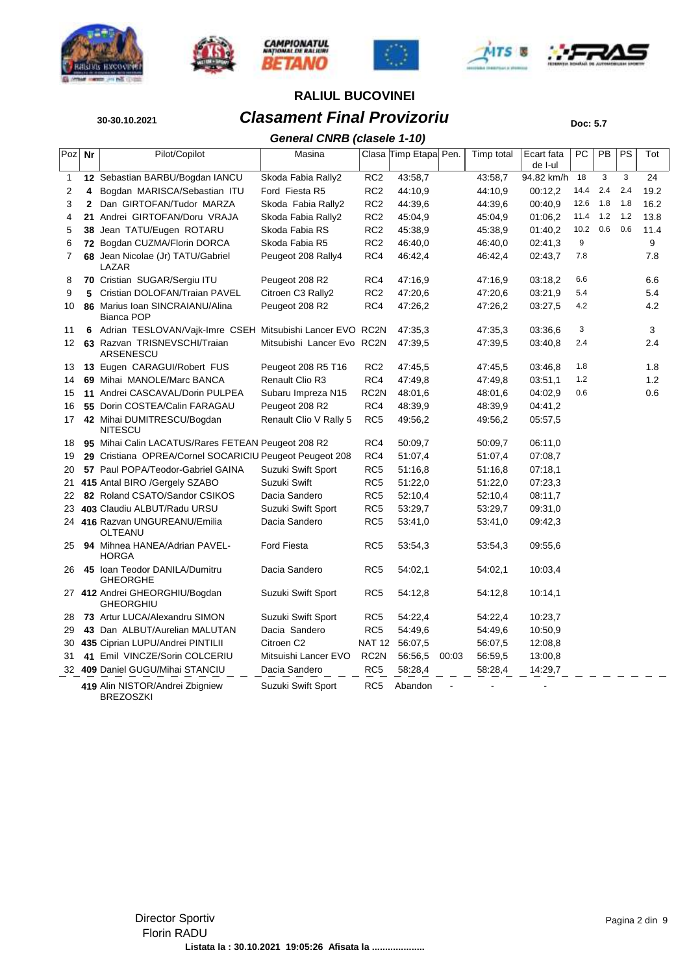











# **30-30.10.2021 Clasament Final Provizoriu Doc: 5.7 RALIUL BUCOVINEI**

*General CNRB (clasele 1-10)*

|     |              |                                                             | General CNRD (Clasele 1-10) |                   |                       |       |            |                       |      |     |     |      |
|-----|--------------|-------------------------------------------------------------|-----------------------------|-------------------|-----------------------|-------|------------|-----------------------|------|-----|-----|------|
| Poz | Nr           | Pilot/Copilot                                               | Masina                      |                   | Clasa Timp Etapa Pen. |       | Timp total | Ecart fata<br>de I-ul | РC   | PB  | PS  | Tot  |
| 1   |              | 12 Sebastian BARBU/Bogdan IANCU                             | Skoda Fabia Rally2          | RC <sub>2</sub>   | 43:58,7               |       | 43:58,7    | 94.82 km/h            | 18   | 3   | 3   | 24   |
| 2   | 4            | Bogdan MARISCA/Sebastian ITU                                | Ford Fiesta R5              | RC <sub>2</sub>   | 44:10,9               |       | 44:10,9    | 00:12,2               | 14.4 | 2.4 | 2.4 | 19.2 |
| 3   | $\mathbf{2}$ | Dan GIRTOFAN/Tudor MARZA                                    | Skoda Fabia Rally2          | RC <sub>2</sub>   | 44:39.6               |       | 44:39,6    | 00:40,9               | 12.6 | 1.8 | 1.8 | 16.2 |
| 4   |              | 21 Andrei GIRTOFAN/Doru VRAJA                               | Skoda Fabia Rally2          | RC <sub>2</sub>   | 45:04,9               |       | 45:04,9    | 01:06.2               | 11.4 | 1.2 | 1.2 | 13.8 |
| 5   |              | 38 Jean TATU/Eugen ROTARU                                   | Skoda Fabia RS              | RC <sub>2</sub>   | 45:38,9               |       | 45:38,9    | 01:40,2               | 10.2 | 0.6 | 0.6 | 11.4 |
| 6   |              | 72 Bogdan CUZMA/Florin DORCA                                | Skoda Fabia R5              | RC <sub>2</sub>   | 46:40,0               |       | 46:40,0    | 02:41,3               | 9    |     |     | 9    |
| 7   |              | 68 Jean Nicolae (Jr) TATU/Gabriel<br>LAZAR                  | Peugeot 208 Rally4          | RC4               | 46:42,4               |       | 46:42,4    | 02:43,7               | 7.8  |     |     | 7.8  |
| 8   |              | 70 Cristian SUGAR/Sergiu ITU                                | Peugeot 208 R2              | RC4               | 47:16,9               |       | 47:16,9    | 03:18,2               | 6.6  |     |     | 6.6  |
| 9   | 5            | Cristian DOLOFAN/Traian PAVEL                               | Citroen C3 Rally2           | RC <sub>2</sub>   | 47:20.6               |       | 47:20.6    | 03:21,9               | 5.4  |     |     | 5.4  |
| 10  |              | 86 Marius Ioan SINCRAIANU/Alina<br><b>Bianca POP</b>        | Peugeot 208 R2              | RC4               | 47:26,2               |       | 47:26,2    | 03:27,5               | 4.2  |     |     | 4.2  |
| 11  |              | 6 Adrian TESLOVAN/Vajk-Imre CSEH Mitsubishi Lancer EVO RC2N |                             |                   | 47:35.3               |       | 47:35.3    | 03:36.6               | 3    |     |     | 3    |
| 12  |              | 63 Razvan TRISNEVSCHI/Traian<br>ARSENESCU                   | Mitsubishi Lancer Evo RC2N  |                   | 47:39,5               |       | 47:39,5    | 03:40,8               | 2.4  |     |     | 2.4  |
| 13  |              | 13 Eugen CARAGUI/Robert FUS                                 | Peugeot 208 R5 T16          | RC <sub>2</sub>   | 47:45.5               |       | 47:45.5    | 03:46.8               | 1.8  |     |     | 1.8  |
| 14  |              | 69 Mihai MANOLE/Marc BANCA                                  | Renault Clio R3             | RC4               | 47:49,8               |       | 47:49,8    | 03:51,1               | 1.2  |     |     | 1.2  |
| 15  |              | 11 Andrei CASCAVAL/Dorin PULPEA                             | Subaru Impreza N15          | RC <sub>2N</sub>  | 48:01,6               |       | 48:01,6    | 04:02,9               | 0.6  |     |     | 0.6  |
| 16  |              | 55 Dorin COSTEA/Calin FARAGAU                               | Peugeot 208 R2              | RC4               | 48:39,9               |       | 48:39,9    | 04:41,2               |      |     |     |      |
| 17  |              | 42 Mihai DUMITRESCU/Bogdan<br><b>NITESCU</b>                | Renault Clio V Rally 5      | RC <sub>5</sub>   | 49:56,2               |       | 49:56,2    | 05:57,5               |      |     |     |      |
| 18  |              | 95 Mihai Calin LACATUS/Rares FETEAN Peugeot 208 R2          |                             | RC4               | 50:09,7               |       | 50:09,7    | 06:11,0               |      |     |     |      |
| 19  |              | 29 Cristiana OPREA/Cornel SOCARICIU Peugeot Peugeot 208     |                             | RC4               | 51:07.4               |       | 51:07,4    | 07:08.7               |      |     |     |      |
| 20  |              | 57 Paul POPA/Teodor-Gabriel GAINA                           | Suzuki Swift Sport          | RC <sub>5</sub>   | 51:16,8               |       | 51:16,8    | 07:18.1               |      |     |     |      |
| 21  |              | 415 Antal BIRO / Gergely SZABO                              | Suzuki Swift                | RC <sub>5</sub>   | 51:22,0               |       | 51:22,0    | 07:23,3               |      |     |     |      |
| 22  |              | 82 Roland CSATO/Sandor CSIKOS                               | Dacia Sandero               | RC <sub>5</sub>   | 52:10,4               |       | 52:10,4    | 08:11,7               |      |     |     |      |
| 23  |              | 403 Claudiu ALBUT/Radu URSU                                 | Suzuki Swift Sport          | RC <sub>5</sub>   | 53:29,7               |       | 53:29,7    | 09:31,0               |      |     |     |      |
|     |              | 24 416 Razvan UNGUREANU/Emilia<br>OLTEANU                   | Dacia Sandero               | RC <sub>5</sub>   | 53:41,0               |       | 53:41,0    | 09:42,3               |      |     |     |      |
| 25  |              | 94 Mihnea HANEA/Adrian PAVEL-<br><b>HORGA</b>               | <b>Ford Fiesta</b>          | RC5               | 53:54,3               |       | 53:54,3    | 09:55,6               |      |     |     |      |
| 26  |              | 45 Ioan Teodor DANILA/Dumitru<br><b>GHEORGHE</b>            | Dacia Sandero               | RC <sub>5</sub>   | 54:02,1               |       | 54:02,1    | 10:03,4               |      |     |     |      |
|     |              | 27 412 Andrei GHEORGHIU/Bogdan<br><b>GHEORGHIU</b>          | Suzuki Swift Sport          | RC <sub>5</sub>   | 54:12,8               |       | 54:12,8    | 10:14,1               |      |     |     |      |
| 28  |              | 73 Artur LUCA/Alexandru SIMON                               | Suzuki Swift Sport          | RC5               | 54:22,4               |       | 54:22,4    | 10:23,7               |      |     |     |      |
| 29  |              | 43 Dan ALBUT/Aurelian MALUTAN                               | Dacia Sandero               | RC <sub>5</sub>   | 54:49,6               |       | 54:49,6    | 10:50,9               |      |     |     |      |
| 30  |              | 435 Ciprian LUPU/Andrei PINTILII                            | Citroen C <sub>2</sub>      | <b>NAT 12</b>     | 56:07,5               |       | 56:07,5    | 12:08,8               |      |     |     |      |
| 31  |              | 41 Emil VINCZE/Sorin COLCERIU                               | Mitsuishi Lancer EVO        | RC <sub>2</sub> N | 56:56,5               | 00:03 | 56:59,5    | 13:00,8               |      |     |     |      |
|     |              | 32 409 Daniel GUGU/Mihai STANCIU                            | Dacia Sandero               | RC <sub>5</sub>   | 58:28,4               |       | 58:28,4    | 14:29,7               |      |     |     |      |
|     |              | 419 Alin NISTOR/Andrei Zbigniew<br><b>BREZOSZKI</b>         | Suzuki Swift Sport          | RC <sub>5</sub>   | Abandon               |       |            |                       |      |     |     |      |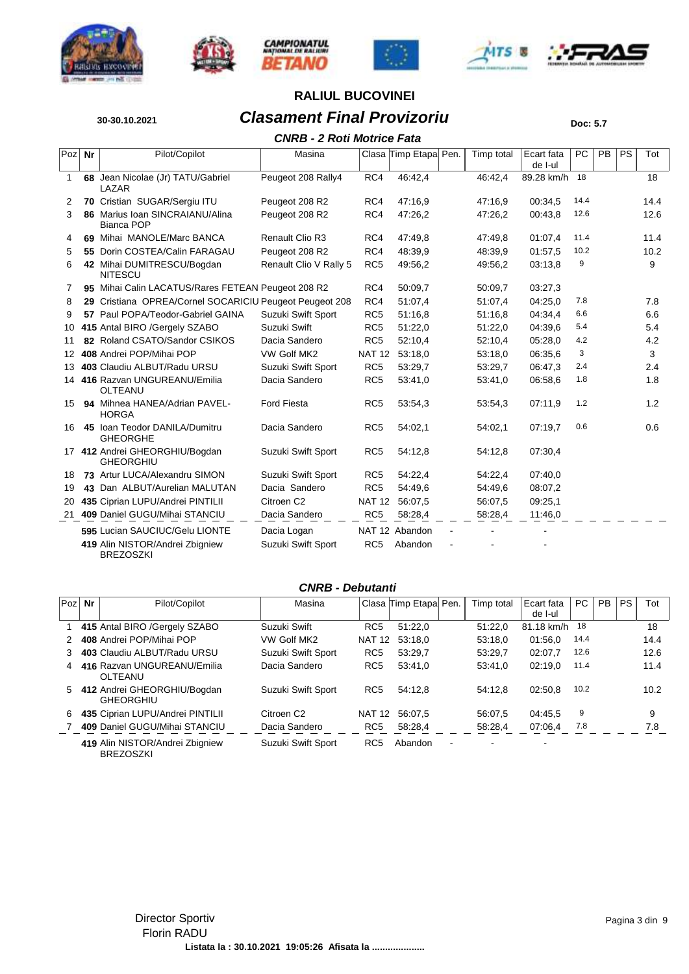









## **30-30.10.2021 Clasament Final Provizoriu Doc: 5.7 RALIUL BUCOVINEI**

### *CNRB - 2 Roti Motrice Fata*

|                 |    |                                                         | CNRB - 2 ROU MOUICE Fata |                 |                       |            |                       |      |    |    |      |
|-----------------|----|---------------------------------------------------------|--------------------------|-----------------|-----------------------|------------|-----------------------|------|----|----|------|
| Poz             | Nr | Pilot/Copilot                                           | Masina                   |                 | Clasa Timp Etapa Pen. | Timp total | Ecart fata<br>de I-ul | PC   | PB | PS | Tot  |
| 1               |    | 68 Jean Nicolae (Jr) TATU/Gabriel<br>LAZAR              | Peugeot 208 Rally4       | RC4             | 46:42,4               | 46:42,4    | 89.28 km/h            | 18   |    |    | 18   |
| 2               |    | 70 Cristian SUGAR/Sergiu ITU                            | Peugeot 208 R2           | RC4             | 47:16.9               | 47:16,9    | 00:34,5               | 14.4 |    |    | 14.4 |
| 3               |    | 86 Marius Ioan SINCRAIANU/Alina<br><b>Bianca POP</b>    | Peugeot 208 R2           | RC4             | 47:26.2               | 47:26,2    | 00:43.8               | 12.6 |    |    | 12.6 |
| 4               |    | 69 Mihai MANOLE/Marc BANCA                              | Renault Clio R3          | RC4             | 47:49.8               | 47:49.8    | 01:07.4               | 11.4 |    |    | 11.4 |
| 5               |    | 55 Dorin COSTEA/Calin FARAGAU                           | Peugeot 208 R2           | RC4             | 48:39,9               | 48:39,9    | 01:57.5               | 10.2 |    |    | 10.2 |
| 6               |    | 42 Mihai DUMITRESCU/Bogdan<br><b>NITESCU</b>            | Renault Clio V Rally 5   | RC <sub>5</sub> | 49:56,2               | 49:56,2    | 03:13,8               | 9    |    |    | 9    |
| 7               |    | 95 Mihai Calin LACATUS/Rares FETEAN Peugeot 208 R2      |                          | RC4             | 50:09.7               | 50:09.7    | 03:27,3               |      |    |    |      |
| 8               |    | 29 Cristiana OPREA/Cornel SOCARICIU Peugeot Peugeot 208 |                          | RC4             | 51:07.4               | 51:07.4    | 04:25.0               | 7.8  |    |    | 7.8  |
| 9               |    | 57 Paul POPA/Teodor-Gabriel GAINA                       | Suzuki Swift Sport       | RC <sub>5</sub> | 51:16.8               | 51:16,8    | 04:34.4               | 6.6  |    |    | 6.6  |
| 10              |    | 415 Antal BIRO /Gergely SZABO                           | Suzuki Swift             | RC <sub>5</sub> | 51:22,0               | 51:22,0    | 04:39.6               | 5.4  |    |    | 5.4  |
| 11              |    | 82 Roland CSATO/Sandor CSIKOS                           | Dacia Sandero            | RC <sub>5</sub> | 52:10,4               | 52:10,4    | 05:28,0               | 4.2  |    |    | 4.2  |
| 12 <sup>1</sup> |    | 408 Andrei POP/Mihai POP                                | VW Golf MK2              | <b>NAT 12</b>   | 53:18.0               | 53:18,0    | 06:35.6               | 3    |    |    | 3    |
| 13              |    | 403 Claudiu ALBUT/Radu URSU                             | Suzuki Swift Sport       | RC <sub>5</sub> | 53:29,7               | 53:29,7    | 06:47.3               | 2.4  |    |    | 2.4  |
|                 |    | 14 416 Razvan UNGUREANU/Emilia<br><b>OLTEANU</b>        | Dacia Sandero            | RC <sub>5</sub> | 53:41,0               | 53:41,0    | 06:58.6               | 1.8  |    |    | 1.8  |
| 15              |    | 94 Mihnea HANEA/Adrian PAVEL-<br><b>HORGA</b>           | <b>Ford Fiesta</b>       | RC <sub>5</sub> | 53:54,3               | 53:54,3    | 07:11.9               | 1.2  |    |    | 1.2  |
| 16              |    | 45 Ioan Teodor DANILA/Dumitru<br><b>GHEORGHE</b>        | Dacia Sandero            | RC <sub>5</sub> | 54:02.1               | 54:02.1    | 07:19.7               | 0.6  |    |    | 0.6  |
|                 |    | 17 412 Andrei GHEORGHIU/Bogdan<br><b>GHEORGHIU</b>      | Suzuki Swift Sport       | RC <sub>5</sub> | 54:12,8               | 54:12,8    | 07:30,4               |      |    |    |      |
| 18              |    | 73 Artur LUCA/Alexandru SIMON                           | Suzuki Swift Sport       | RC <sub>5</sub> | 54:22,4               | 54:22,4    | 07:40,0               |      |    |    |      |
| 19              |    | 43 Dan ALBUT/Aurelian MALUTAN                           | Dacia Sandero            | RC <sub>5</sub> | 54:49.6               | 54:49,6    | 08:07,2               |      |    |    |      |
| 20              |    | 435 Ciprian LUPU/Andrei PINTILII                        | Citroen C2               | <b>NAT 12</b>   | 56:07.5               | 56:07.5    | 09:25,1               |      |    |    |      |
|                 |    | 21 409 Daniel GUGU/Mihai STANCIU                        | Dacia Sandero            | RC <sub>5</sub> | 58:28,4               | 58:28,4    | 11:46,0               |      |    |    |      |
|                 |    | 595 Lucian SAUCIUC/Gelu LIONTE                          | Dacia Logan              |                 | NAT 12 Abandon        |            |                       |      |    |    |      |
|                 |    | 419 Alin NISTOR/Andrei Zbigniew<br><b>BREZOSZKI</b>     | Suzuki Swift Sport       | RC <sub>5</sub> | Abandon               |            |                       |      |    |    |      |

#### *CNRB - Debutanti*

| Poz           | Nr | Pilot/Copilot                                       | Masina                 |                 | Clasa Timp Etapa Pen. |                | Timp total | Ecart fata<br>de I-ul    | PC.  | <b>PB</b> | <b>PS</b> | Tot  |
|---------------|----|-----------------------------------------------------|------------------------|-----------------|-----------------------|----------------|------------|--------------------------|------|-----------|-----------|------|
|               |    | 415 Antal BIRO / Gergely SZABO                      | Suzuki Swift           | RC <sub>5</sub> | 51:22.0               |                | 51:22.0    | 81.18 km/h               | 18   |           |           | 18   |
| $\mathcal{P}$ |    | 408 Andrei POP/Mihai POP                            | VW Golf MK2            | <b>NAT 12</b>   | 53:18.0               |                | 53:18.0    | 01:56.0                  | 14.4 |           |           | 14.4 |
| 3             |    | 403 Claudiu ALBUT/Radu URSU                         | Suzuki Swift Sport     | RC <sub>5</sub> | 53:29.7               |                | 53:29.7    | 02:07.7                  | 12.6 |           |           | 12.6 |
| 4             |    | 416 Razvan UNGUREANU/Emilia<br>OLTEANU              | Dacia Sandero          | RC <sub>5</sub> | 53:41.0               |                | 53:41.0    | 02:19.0                  | 11.4 |           |           | 11.4 |
| 5             |    | 412 Andrei GHEORGHIU/Bogdan<br><b>GHEORGHIU</b>     | Suzuki Swift Sport     | RC <sub>5</sub> | 54:12.8               |                | 54:12.8    | 02:50.8                  | 10.2 |           |           | 10.2 |
| 6             |    | 435 Ciprian LUPU/Andrei PINTILII                    | Citroen C <sub>2</sub> | <b>NAT 12</b>   | 56:07.5               |                | 56:07.5    | 04:45.5                  | 9    |           |           | 9    |
|               |    | 409 Daniel GUGU/Mihai STANCIU                       | Dacia Sandero          | RC <sub>5</sub> | 58:28,4               |                | 58:28.4    | 07:06.4                  | 7.8  |           |           | 7.8  |
|               |    | 419 Alin NISTOR/Andrei Zbigniew<br><b>BREZOSZKI</b> | Suzuki Swift Sport     | RC <sub>5</sub> | Abandon               | $\blacksquare$ |            | $\overline{\phantom{0}}$ |      |           |           |      |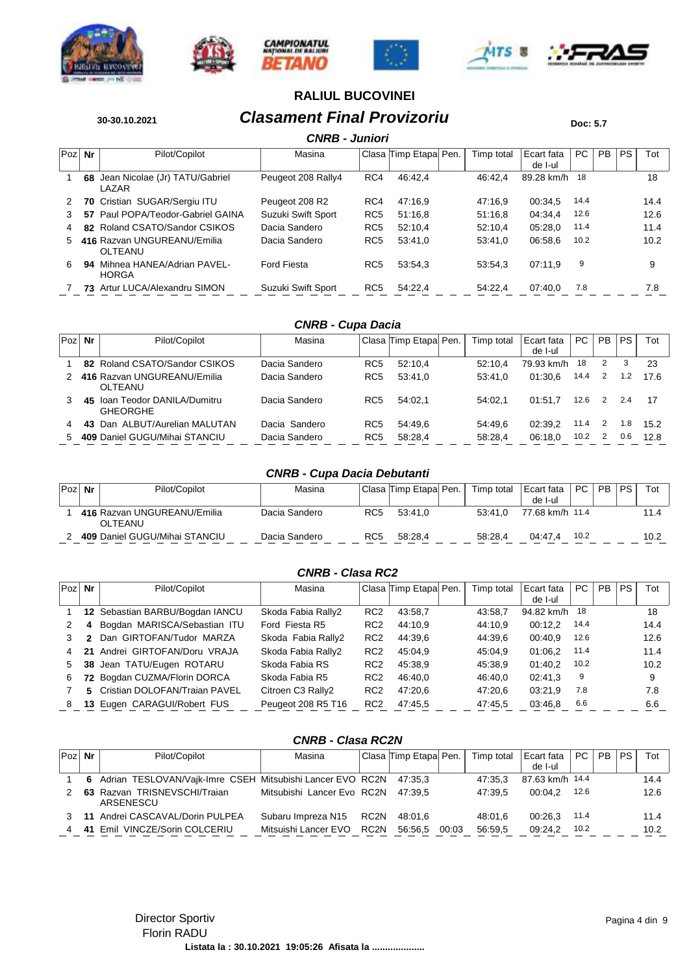











# **30-30.10.2021 Clasament Final Provizoriu Doc: 5.7**

|     |    |                                            | <b>CNRB - Juniori</b> |                 |                       |            |                       |      |           |           |      |
|-----|----|--------------------------------------------|-----------------------|-----------------|-----------------------|------------|-----------------------|------|-----------|-----------|------|
| Poz | Nr | Pilot/Copilot                              | Masina                |                 | Clasa Timp Etapa Pen. | Timp total | Ecart fata<br>de I-ul | PC.  | <b>PB</b> | <b>PS</b> | Tot  |
|     | 68 | Jean Nicolae (Jr) TATU/Gabriel<br>LAZAR    | Peugeot 208 Rally4    | RC4             | 46:42.4               | 46:42.4    | 89.28 km/h            | 18   |           |           | 18   |
| 2   |    | 70 Cristian SUGAR/Sergiu ITU               | Peugeot 208 R2        | RC4             | 47:16.9               | 47:16.9    | 00:34.5               | 14.4 |           |           | 14.4 |
| 3   |    | 57 Paul POPA/Teodor-Gabriel GAINA          | Suzuki Swift Sport    | RC <sub>5</sub> | 51:16.8               | 51:16.8    | 04:34.4               | 12.6 |           |           | 12.6 |
| 4   |    | 82 Roland CSATO/Sandor CSIKOS              | Dacia Sandero         | RC <sub>5</sub> | 52:10.4               | 52:10.4    | 05:28.0               | 11.4 |           |           | 11.4 |
| 5.  |    | 416 Razvan UNGUREANU/Emilia<br>OLTEANU     | Dacia Sandero         | RC <sub>5</sub> | 53:41.0               | 53:41.0    | 06:58.6               | 10.2 |           |           | 10.2 |
| 6.  | 94 | Mihnea HANEA/Adrian PAVEL-<br><b>HORGA</b> | <b>Ford Fiesta</b>    | RC <sub>5</sub> | 53:54.3               | 53:54.3    | 07:11.9               | 9    |           |           | 9    |
|     |    | 73 Artur LUCA/Alexandru SIMON              | Suzuki Swift Sport    | RC <sub>5</sub> | 54:22.4               | 54:22.4    | 07:40.0               | 7.8  |           |           | 7.8  |

## *CNRB - Cupa Dacia*

| Poz | Nr | Pilot/Copilot                                 | Masina        |                 | Clasa Timp Etapa Pen. | Timp total | Ecart fata<br>de I-ul | PC.  | <b>PB</b> | <b>PS</b> | Tot  |
|-----|----|-----------------------------------------------|---------------|-----------------|-----------------------|------------|-----------------------|------|-----------|-----------|------|
|     |    | 82 Roland CSATO/Sandor CSIKOS                 | Dacia Sandero | RC <sub>5</sub> | 52:10.4               | 52:10.4    | 79.93 km/h            | 18   | 2         | 3         | 23   |
|     |    | 416 Razvan UNGUREANU/Emilia<br>OLTEANU        | Dacia Sandero | RC <sub>5</sub> | 53:41.0               | 53:41.0    | 01:30.6               | 14.4 | 2         | 1.2       | 17.6 |
|     | 45 | Ioan Teodor DANILA/Dumitru<br><b>GHEORGHE</b> | Dacia Sandero | RC <sub>5</sub> | 54:02.1               | 54:02.1    | 01:51.7               | 12.6 | 2         | 2.4       | 17   |
| 4   |    | 43 Dan ALBUT/Aurelian MALUTAN                 | Dacia Sandero | RC <sub>5</sub> | 54:49.6               | 54:49.6    | 02:39.2               | 11.4 | 2         | 1.8       | 15.2 |
| 5   |    | 409 Daniel GUGU/Mihai STANCIU                 | Dacia Sandero | RC <sub>5</sub> | 58:28.4               | 58:28.4    | 06:18.0               | 10.2 |           | 0.6       | 12.8 |

#### *CNRB - Cupa Dacia Debutanti*

| Poz | Nr | Pilot/Copilot                          | Masina        |     | Clasa Timp Etapa Pen. | Timp total | Ecart fata<br>de I-ul | $PC$ . | PB. | PS. | $\mathsf{Tot}^-$ |
|-----|----|----------------------------------------|---------------|-----|-----------------------|------------|-----------------------|--------|-----|-----|------------------|
|     |    | 416 Razvan UNGUREANU/Emilia<br>OLTEANU | Dacia Sandero | RC5 | 53:41.0               | 53:41.0    | 77.68 km/h 11.4       |        |     |     | 11.4             |
|     |    | 409 Daniel GUGU/Mihai STANCIU          | Dacia Sandero | RC5 | 58:28.4               | 58:28.4    | 04:47.4               | 10.2   |     |     | 10.2             |

#### *CNRB - Clasa RC2*

| Poz | Nr  | Pilot/Copilot                   | Masina             |                 | Clasa Timp Etapa Pen. | Timp total | Ecart fata<br>de I-ul | PC   | PB | PS. | Tot  |
|-----|-----|---------------------------------|--------------------|-----------------|-----------------------|------------|-----------------------|------|----|-----|------|
|     |     | 12 Sebastian BARBU/Bogdan IANCU | Skoda Fabia Rally2 | RC <sub>2</sub> | 43:58.7               | 43.58.7    | 94.82 km/h            | -18  |    |     | 18   |
|     | 4   | Bogdan MARISCA/Sebastian ITU    | Ford Fiesta R5     | RC <sub>2</sub> | 44:10.9               | 44:10.9    | 00:12.2               | 14.4 |    |     | 14.4 |
|     |     | Dan GIRTOFAN/Tudor MARZA        | Skoda Fabia Rally2 | RC <sub>2</sub> | 44:39.6               | 44:39.6    | 00:40.9               | 12.6 |    |     | 12.6 |
| 4   | 21. | Andrei GIRTOFAN/Doru VRAJA      | Skoda Fabia Rally2 | RC <sub>2</sub> | 45:04.9               | 45:04.9    | 01:06.2               | 11.4 |    |     | 11.4 |
| 5   |     | 38 Jean TATU/Eugen ROTARU       | Skoda Fabia RS     | RC <sub>2</sub> | 45:38.9               | 45:38.9    | 01:40.2               | 10.2 |    |     | 10.2 |
| 6   |     | 72 Bogdan CUZMA/Florin DORCA    | Skoda Fabia R5     | RC <sub>2</sub> | 46:40.0               | 46:40.0    | 02:41.3               | 9    |    |     | 9    |
|     |     | 5 Cristian DOLOFAN/Traian PAVEL | Citroen C3 Rally2  | RC <sub>2</sub> | 47:20.6               | 47:20.6    | 03:21.9               | 7.8  |    |     | 7.8  |
| 8   |     | 13 Eugen CARAGUI/Robert FUS     | Peugeot 208 R5 T16 | RC <sub>2</sub> | 47:45.5               | 47:45.5    | 03:46.8               | 6.6  |    |     | 6.6  |

#### *CNRB - Clasa RC2N*

| $Poz$ Nr | Pilot/Copilot                                                       | Masina                             |      | Clasa Timp Etapa Pen. |       | Timp total | Ecart fata      | PC   | <b>PB</b> | PS. | Tot  |
|----------|---------------------------------------------------------------------|------------------------------------|------|-----------------------|-------|------------|-----------------|------|-----------|-----|------|
|          |                                                                     |                                    |      |                       |       |            | de I-ul         |      |           |     |      |
|          | 6 Adrian TESLOVAN/Vajk-Imre CSEH Mitsubishi Lancer EVO RC2N 47:35.3 |                                    |      |                       |       | 47:35.3    | 87.63 km/h 14.4 |      |           |     | 14.4 |
|          | 63 Razvan TRISNEVSCHI/Traian<br>ARSENESCU                           | Mitsubishi Lancer Evo RC2N 47:39.5 |      |                       |       | 47:39.5    | 00:04.2         | 12.6 |           |     | 12.6 |
|          | 11 Andrei CASCAVAL/Dorin PULPEA                                     | Subaru Impreza N15 RC2N            |      | 48.01.6               |       | 48:01.6    | 00:26.3         | 11.4 |           |     | 11.4 |
|          | 41 Emil VINCZE/Sorin COLCERIU                                       | Mitsuishi Lancer EVO               | RC2N | 56:56.5               | 00:03 | 56:59.5    | 09:24.2         | 10.2 |           |     | 10.2 |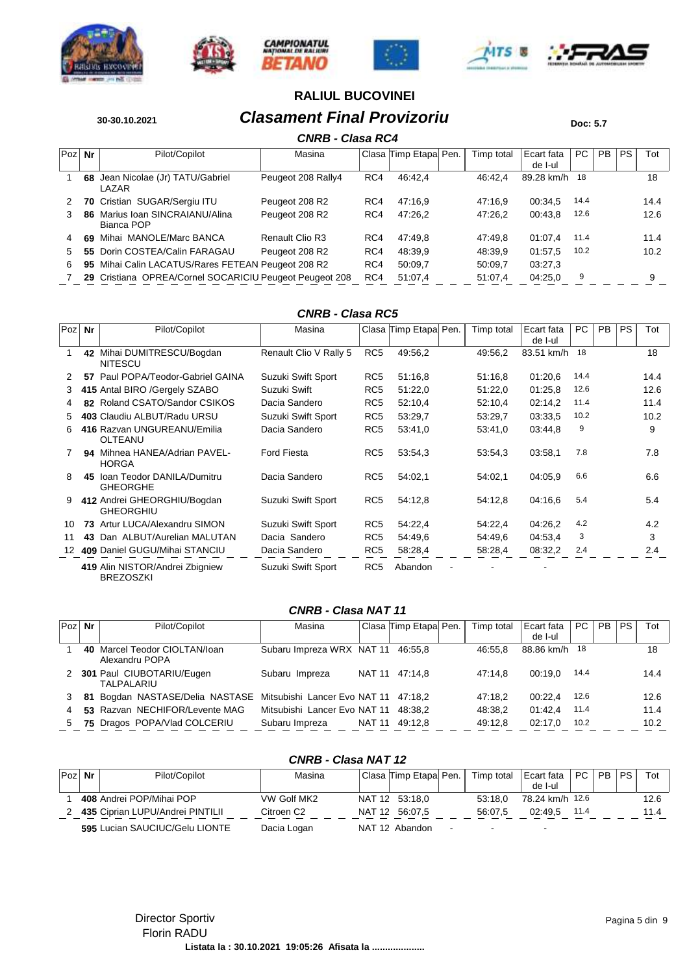











## **30-30.10.2021 Clasament Final Provizoriu Doc: 5.7 RALIUL BUCOVINEI**

## *CNRB - Clasa RC4*

|     | CNRB - Clasa RC4 |                                                         |                    |     |                       |  |            |                       |      |     |           |      |  |  |  |
|-----|------------------|---------------------------------------------------------|--------------------|-----|-----------------------|--|------------|-----------------------|------|-----|-----------|------|--|--|--|
| Poz | Nr               | Pilot/Copilot                                           | Masina             |     | Clasa Timp Etapa Pen. |  | Timp total | Ecart fata<br>de I-ul | PC.  | PB. | <b>PS</b> | Tot  |  |  |  |
|     | 68               | Jean Nicolae (Jr) TATU/Gabriel<br>I AZAR                | Peugeot 208 Rally4 | RC4 | 46:42.4               |  | 46:42.4    | 89.28 km/h            | 18   |     |           | 18   |  |  |  |
| 2   |                  | 70 Cristian SUGAR/Sergiu ITU                            | Peugeot 208 R2     | RC4 | 47:16.9               |  | 47:16.9    | 00:34.5               | 14.4 |     |           | 14.4 |  |  |  |
|     |                  | 86 Marius Ioan SINCRAIANU/Alina<br>Bianca POP           | Peugeot 208 R2     | RC4 | 47:26.2               |  | 47:26,2    | 00:43,8               | 12.6 |     |           | 12.6 |  |  |  |
| 4   |                  | 69 Mihai MANOLE/Marc BANCA                              | Renault Clio R3    | RC4 | 47:49.8               |  | 47:49.8    | 01:07.4               | 11.4 |     |           | 11.4 |  |  |  |
| 5   |                  | 55 Dorin COSTEA/Calin FARAGAU                           | Peugeot 208 R2     | RC4 | 48:39.9               |  | 48:39,9    | 01:57.5               | 10.2 |     |           | 10.2 |  |  |  |
| 6   |                  | 95 Mihai Calin LACATUS/Rares FETEAN Peugeot 208 R2      |                    | RC4 | 50:09.7               |  | 50:09.7    | 03:27.3               |      |     |           |      |  |  |  |
|     |                  | 29 Cristiana OPREA/Cornel SOCARICIU Peugeot Peugeot 208 |                    | RC4 | 51:07.4               |  | 51:07.4    | 04:25.0               | 9    |     |           | 9    |  |  |  |

#### *CNRB - Clasa RC5*

| Poz           | Nr | Pilot/Copilot                                       | Masina                 |                 | Clasa Timp Etapa Pen. | Timp total | Ecart fata | PC   | <b>PB</b> | <b>PS</b> | Tot  |
|---------------|----|-----------------------------------------------------|------------------------|-----------------|-----------------------|------------|------------|------|-----------|-----------|------|
|               |    |                                                     |                        |                 |                       |            | de I-ul    |      |           |           |      |
|               |    | 42 Mihai DUMITRESCU/Bogdan<br><b>NITESCU</b>        | Renault Clio V Rally 5 | RC <sub>5</sub> | 49:56,2               | 49:56,2    | 83.51 km/h | 18   |           |           | 18   |
| $\mathcal{P}$ | 57 | Paul POPA/Teodor-Gabriel GAINA                      | Suzuki Swift Sport     | RC <sub>5</sub> | 51:16.8               | 51:16.8    | 01:20,6    | 14.4 |           |           | 14.4 |
| 3             |    | 415 Antal BIRO / Gergely SZABO                      | Suzuki Swift           | RC <sub>5</sub> | 51:22,0               | 51:22,0    | 01:25.8    | 12.6 |           |           | 12.6 |
| 4             |    | 82 Roland CSATO/Sandor CSIKOS                       | Dacia Sandero          | RC <sub>5</sub> | 52:10,4               | 52:10.4    | 02:14,2    | 11.4 |           |           | 11.4 |
| 5.            |    | 403 Claudiu ALBUT/Radu URSU                         | Suzuki Swift Sport     | RC <sub>5</sub> | 53:29,7               | 53:29,7    | 03:33.5    | 10.2 |           |           | 10.2 |
| 6.            |    | 416 Razvan UNGUREANU/Emilia<br><b>OLTEANU</b>       | Dacia Sandero          | RC <sub>5</sub> | 53:41,0               | 53:41,0    | 03:44,8    | 9    |           |           | 9    |
|               |    | 94 Mihnea HANEA/Adrian PAVEL-<br><b>HORGA</b>       | Ford Fiesta            | RC <sub>5</sub> | 53:54,3               | 53:54,3    | 03:58.1    | 7.8  |           |           | 7.8  |
| 8             | 45 | Ioan Teodor DANILA/Dumitru<br><b>GHEORGHE</b>       | Dacia Sandero          | RC <sub>5</sub> | 54:02.1               | 54:02.1    | 04:05.9    | 6.6  |           |           | 6.6  |
| 9             |    | 412 Andrei GHEORGHIU/Bogdan<br><b>GHEORGHIU</b>     | Suzuki Swift Sport     | RC <sub>5</sub> | 54:12,8               | 54:12,8    | 04:16.6    | 5.4  |           |           | 5.4  |
| 10            | 73 | Artur LUCA/Alexandru SIMON                          | Suzuki Swift Sport     | RC <sub>5</sub> | 54:22,4               | 54:22,4    | 04:26,2    | 4.2  |           |           | 4.2  |
| 11            | 43 | Dan ALBUT/Aurelian MALUTAN                          | Dacia Sandero          | RC <sub>5</sub> | 54:49.6               | 54:49.6    | 04:53.4    | 3    |           |           | 3    |
| 12            |    | 409 Daniel GUGU/Mihai STANCIU                       | Dacia Sandero          | RC <sub>5</sub> | 58:28,4               | 58:28.4    | 08:32,2    | 2.4  |           |           | 2.4  |
|               |    | 419 Alin NISTOR/Andrei Zbigniew<br><b>BREZOSZKI</b> | Suzuki Swift Sport     | RC <sub>5</sub> | Abandon               |            |            |      |           |           |      |

#### *CNRB - Clasa NAT 11*

| Poz Nr | Pilot/Copilot                                   | Masina                               |        | Clasa Timp Etapa Pen. | Timp total | Ecart fata | PC   | <b>PB</b> | <b>PS</b> | Tot  |
|--------|-------------------------------------------------|--------------------------------------|--------|-----------------------|------------|------------|------|-----------|-----------|------|
|        |                                                 |                                      |        |                       |            | de I-ul    |      |           |           |      |
|        | 40 Marcel Teodor CIOLTAN/loan<br>Alexandru POPA | Subaru Impreza WRX NAT 11 46:55,8    |        |                       | 46:55.8    | 88.86 km/h | - 18 |           |           | 18   |
| 2      | 301 Paul CIUBOTARIU/Eugen<br><b>TALPALARIU</b>  | Subaru Impreza                       |        | NAT 11 47:14.8        | 47:14.8    | 00:19.0    | 14.4 |           |           | 14.4 |
|        | 81 Bogdan NASTASE/Delia NASTASE                 | Mitsubishi Lancer Evo NAT 11 47:18,2 |        |                       | 47:18.2    | 00:22.4    | 12.6 |           |           | 12.6 |
|        | 53 Razvan NECHIFOR/Levente MAG                  | Mitsubishi Lancer Evo NAT 11         |        | 48:38.2               | 48:38.2    | 01:42.4    | 11.4 |           |           | 11.4 |
| 5      | 75 Dragos POPA/Vlad COLCERIU                    | Subaru Impreza                       | NAT 11 | 49:12.8               | 49:12.8    | 02:17.0    | 10.2 |           |           | 10.2 |

#### *CNRB - Clasa NAT 12*

| Poz Nr | Pilot/Copilot                    | Masina      | Clasa Timp Etapal Pen. |        | Timp total               | Ecart fata<br>de I-ul    | PC   PB   PS |  | Tot  |
|--------|----------------------------------|-------------|------------------------|--------|--------------------------|--------------------------|--------------|--|------|
|        | 408 Andrei POP/Mihai POP         | VW Golf MK2 | NAT 12 53:18.0         |        | 53:18.0                  | 78.24 km/h 12.6          |              |  | 12.6 |
|        | 435 Ciprian LUPU/Andrei PINTILII | Citroen C2  | NAT 12 56:07.5         |        | 56:07.5                  | 02:49.5                  | 11.4         |  | 11.4 |
|        | 595 Lucian SAUCIUC/Gelu LIONTE   | Dacia Logan | NAT 12 Abandon         | $\sim$ | $\overline{\phantom{a}}$ | $\overline{\phantom{0}}$ |              |  |      |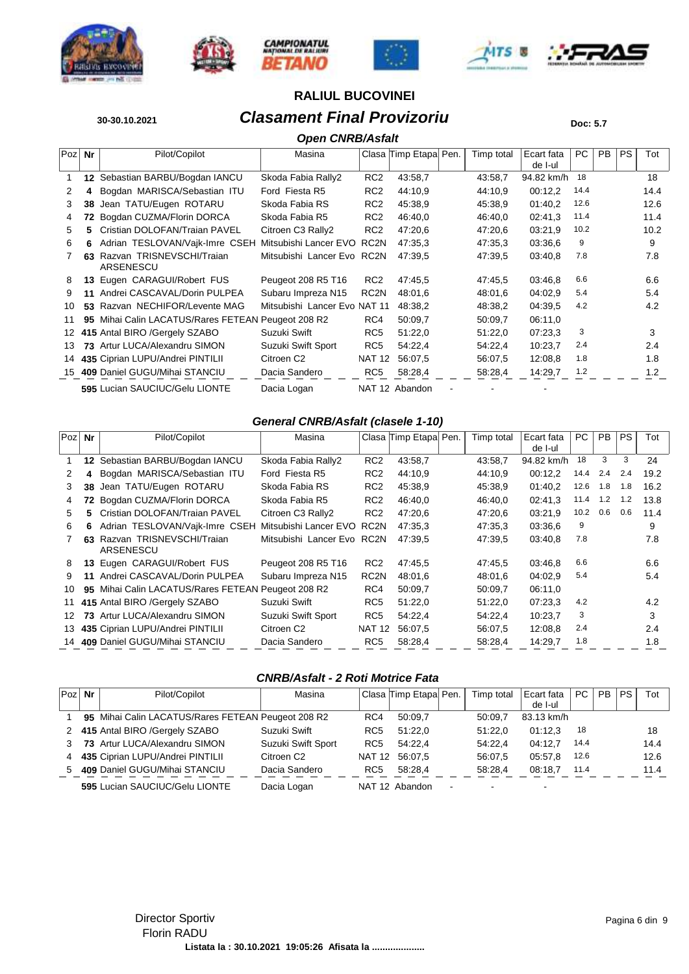











## **30-30.10.2021 Clasament Final Provizoriu Doc: 5.7**

|     |     |                                                 | <b>Open CNRB/Asfalt</b>      |                  |                       |            |                       |      |           |           |      |  |
|-----|-----|-------------------------------------------------|------------------------------|------------------|-----------------------|------------|-----------------------|------|-----------|-----------|------|--|
| Poz | Nr  | Pilot/Copilot                                   | Masina                       |                  | Clasa Timp Etapa Pen. | Timp total | Ecart fata<br>de I-ul | PC   | <b>PB</b> | <b>PS</b> | Tot  |  |
|     | 12  | Sebastian BARBU/Bogdan IANCU                    | Skoda Fabia Rally2           | RC <sub>2</sub>  | 43:58,7               | 43:58,7    | 94.82 km/h            | 18   |           |           | 18   |  |
| 2   | 4   | Bogdan MARISCA/Sebastian ITU                    | Ford Fiesta R5               | RC <sub>2</sub>  | 44:10,9               | 44:10.9    | 00:12,2               | 14.4 |           |           | 14.4 |  |
| 3   | 38  | Jean TATU/Eugen ROTARU                          | Skoda Fabia RS               | RC <sub>2</sub>  | 45:38.9               | 45:38.9    | 01:40,2               | 12.6 |           |           | 12.6 |  |
| 4   | 72  | Bogdan CUZMA/Florin DORCA                       | Skoda Fabia R5               | RC <sub>2</sub>  | 46:40,0               | 46:40,0    | 02:41.3               | 11.4 |           |           | 11.4 |  |
| 5   | 5   | Cristian DOLOFAN/Traian PAVEL                   | Citroen C3 Rally2            | RC <sub>2</sub>  | 47:20.6               | 47:20.6    | 03:21,9               | 10.2 |           |           | 10.2 |  |
| 6   | 6   | Adrian TESLOVAN/Vajk-Imre CSEH                  | Mitsubishi Lancer EVO        | RC <sub>2N</sub> | 47:35.3               | 47:35.3    | 03:36.6               | 9    |           |           | 9    |  |
|     | 63. | Razvan TRISNEVSCHI/Traian<br>ARSENESCU          | Mitsubishi Lancer Evo        | RC2N             | 47:39.5               | 47:39.5    | 03:40.8               | 7.8  |           |           | 7.8  |  |
| 8   | 13  | Eugen CARAGUI/Robert FUS                        | Peugeot 208 R5 T16           | RC <sub>2</sub>  | 47:45,5               | 47:45.5    | 03:46.8               | 6.6  |           |           | 6.6  |  |
| 9   | 11  | Andrei CASCAVAL/Dorin PULPEA                    | Subaru Impreza N15           | RC <sub>2N</sub> | 48:01.6               | 48:01.6    | 04:02.9               | 5.4  |           |           | 5.4  |  |
| 10  | 53  | Razvan NECHIFOR/Levente MAG                     | Mitsubishi Lancer Evo NAT 11 |                  | 48:38,2               | 48:38.2    | 04:39.5               | 4.2  |           |           | 4.2  |  |
| 11  | 95  | Mihai Calin LACATUS/Rares FETEAN Peugeot 208 R2 |                              | RC4              | 50:09.7               | 50:09.7    | 06:11.0               |      |           |           |      |  |
| 12  |     | 415 Antal BIRO /Gergely SZABO                   | Suzuki Swift                 | RC <sub>5</sub>  | 51:22,0               | 51:22,0    | 07:23,3               | 3    |           |           | 3    |  |
| 13  | 73  | Artur LUCA/Alexandru SIMON                      | Suzuki Swift Sport           | RC <sub>5</sub>  | 54:22,4               | 54:22,4    | 10:23,7               | 2.4  |           |           | 2.4  |  |
| 14  |     | 435 Ciprian LUPU/Andrei PINTILII                | Citroen C <sub>2</sub>       | <b>NAT 12</b>    | 56:07.5               | 56:07.5    | 12:08.8               | 1.8  |           |           | 1.8  |  |
| 15  |     | 409 Daniel GUGU/Mihai STANCIU                   | Dacia Sandero                | RC <sub>5</sub>  | 58:28,4               | 58:28,4    | 14:29,7               | 1.2  |           |           | 1.2  |  |
|     |     | 595 Lucian SAUCIUC/Gelu LIONTE                  | Dacia Logan                  |                  | NAT 12 Abandon        |            |                       |      |           |           |      |  |

#### *General CNRB/Asfalt (clasele 1-10)*

| Poz | Nr | Pilot/Copilot                                   | Masina                     |                  | Clasa Timp Etapa Pen. | Timp total | Ecart fata | PC   | <b>PB</b> | <b>PS</b> | Tot  |
|-----|----|-------------------------------------------------|----------------------------|------------------|-----------------------|------------|------------|------|-----------|-----------|------|
|     |    |                                                 |                            |                  |                       |            | de I-ul    |      |           |           |      |
|     |    | 12 Sebastian BARBU/Bogdan IANCU                 | Skoda Fabia Rally2         | RC <sub>2</sub>  | 43:58,7               | 43:58,7    | 94.82 km/h | 18   | 3         | 3         | 24   |
| 2   | 4  | Bogdan MARISCA/Sebastian ITU                    | Ford Fiesta R5             | RC <sub>2</sub>  | 44:10.9               | 44:10.9    | 00:12.2    | 14.4 | 2.4       | 2.4       | 19.2 |
| 3   | 38 | Jean TATU/Eugen ROTARU                          | Skoda Fabia RS             | RC <sub>2</sub>  | 45:38.9               | 45:38.9    | 01:40,2    | 12.6 | 1.8       | 1.8       | 16.2 |
| 4   |    | Bogdan CUZMA/Florin DORCA                       | Skoda Fabia R5             | RC <sub>2</sub>  | 46:40.0               | 46:40.0    | 02:41.3    | 11.4 | 1.2       | 1.2       | 13.8 |
| 5.  | 5  | Cristian DOLOFAN/Traian PAVEL                   | Citroen C3 Rally2          | RC <sub>2</sub>  | 47:20.6               | 47:20.6    | 03:21.9    | 10.2 | 0.6       | 0.6       | 11.4 |
| 6   | 6  | Adrian TESLOVAN/Vajk-Imre CSEH                  | Mitsubishi Lancer EVO RC2N |                  | 47:35.3               | 47:35.3    | 03:36.6    | 9    |           |           | 9    |
|     |    | 63 Razvan TRISNEVSCHI/Trajan<br>ARSENESCU       | Mitsubishi Lancer Evo RC2N |                  | 47:39.5               | 47:39.5    | 03:40.8    | 7.8  |           |           | 7.8  |
| 8   |    | 13 Eugen CARAGUI/Robert FUS                     | Peugeot 208 R5 T16         | RC <sub>2</sub>  | 47:45.5               | 47:45.5    | 03:46.8    | 6.6  |           |           | 6.6  |
| 9   |    | 11 Andrei CASCAVAL/Dorin PULPEA                 | Subaru Impreza N15         | RC <sub>2N</sub> | 48:01.6               | 48:01.6    | 04:02.9    | 5.4  |           |           | 5.4  |
| 10  | 95 | Mihai Calin LACATUS/Rares FETEAN Peugeot 208 R2 |                            | RC4              | 50:09.7               | 50:09.7    | 06:11.0    |      |           |           |      |
| 11  |    | 415 Antal BIRO /Gergely SZABO                   | Suzuki Swift               | RC <sub>5</sub>  | 51:22,0               | 51:22,0    | 07:23,3    | 4.2  |           |           | 4.2  |
| 12  |    | 73 Artur LUCA/Alexandru SIMON                   | Suzuki Swift Sport         | RC <sub>5</sub>  | 54:22,4               | 54:22,4    | 10:23,7    | 3    |           |           | 3    |
| 13  |    | 435 Ciprian LUPU/Andrei PINTILII                | Citroen C <sub>2</sub>     | <b>NAT 12</b>    | 56:07.5               | 56:07.5    | 12:08.8    | 2.4  |           |           | 2.4  |
|     |    | 14 409 Daniel GUGU/Mihai STANCIU                | Dacia Sandero              | RC <sub>5</sub>  | 58:28,4               | 58:28,4    | 14:29,7    | 1.8  |           |           | 1.8  |

#### *CNRB/Asfalt - 2 Roti Motrice Fata*

|   | $Poz$ Nr | Pilot/Copilot                                      | Masina                 |                 | Clasa Timp Etapa Pen. |                          | Timp total | Ecart fata | PC.  | <b>PB</b> | <b>PS</b> | Tot  |
|---|----------|----------------------------------------------------|------------------------|-----------------|-----------------------|--------------------------|------------|------------|------|-----------|-----------|------|
|   |          |                                                    |                        |                 |                       |                          |            | de I-ul    |      |           |           |      |
|   |          | 95 Mihai Calin LACATUS/Rares FETEAN Peugeot 208 R2 |                        | RC4             | 50:09.7               |                          | 50:09.7    | 83.13 km/h |      |           |           |      |
| 2 |          | 415 Antal BIRO /Gergely SZABO                      | Suzuki Swift           | RC <sub>5</sub> | 51:22.0               |                          | 51:22.0    | 01:12.3    | 18   |           |           | 18   |
|   |          | 73 Artur LUCA/Alexandru SIMON                      | Suzuki Swift Sport     | RC <sub>5</sub> | 54:22.4               |                          | 54:22.4    | 04:12.7    | 14.4 |           |           | 14.4 |
| 4 |          | 435 Ciprian LUPU/Andrei PINTILII                   | Citroen C <sub>2</sub> |                 | NAT 12 56:07.5        |                          | 56:07.5    | 05:57.8    | 12.6 |           |           | 12.6 |
| 5 |          | 409 Daniel GUGU/Mihai STANCIU                      | Dacia Sandero          | RC <sub>5</sub> | 58:28.4               |                          | 58:28.4    | 08:18.7    | 11.4 |           |           | 11.4 |
|   |          | 595 Lucian SAUCIUC/Gelu LIONTE                     | Dacia Logan            |                 | NAT 12 Abandon        | $\overline{\phantom{a}}$ |            |            |      |           |           |      |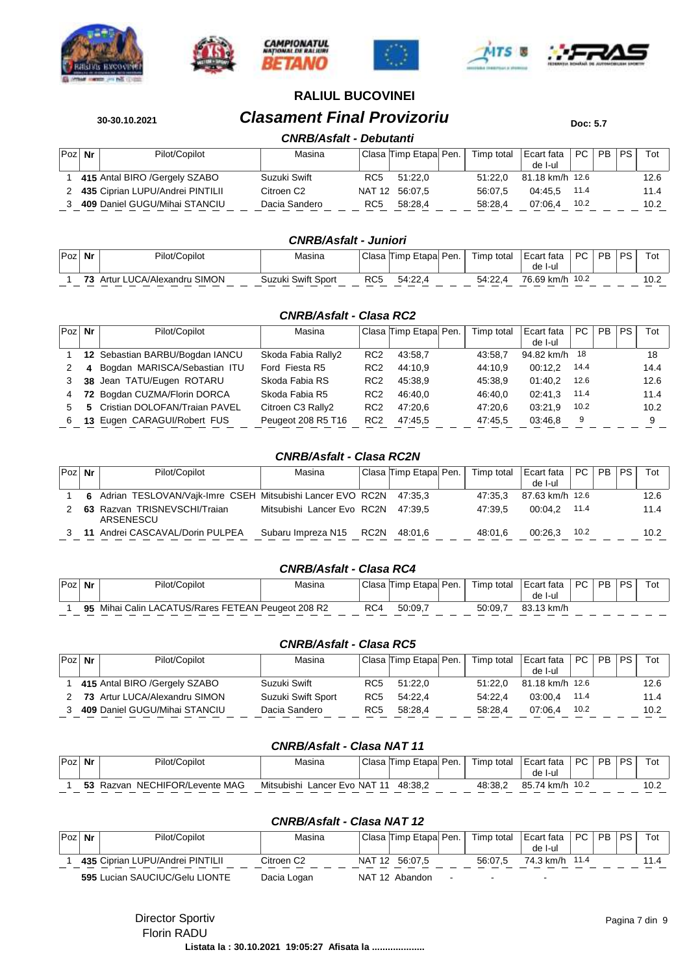











## **30-30.10.2021 Clasament Final Provizoriu Doc: 5.7**

## *CNRB/Asfalt - Debutanti*

|        |                                    | <i>UNIVASIO</i> N | <i>- D</i> uvuuni |                        |            |                 |        |       |      |
|--------|------------------------------------|-------------------|-------------------|------------------------|------------|-----------------|--------|-------|------|
| Poz Nr | Pilot/Copilot                      | Masina            |                   | Clasa Timp Etapal Pen. | Timp total | Ecart fata      | PC     | PB PS | Tot  |
|        |                                    |                   |                   |                        |            | de I-ul         |        |       |      |
|        | 415 Antal BIRO / Gergely SZABO     | Suzuki Swift      | RC <sub>5</sub>   | 51:22.0                | 51:22.0    | 81.18 km/h 12.6 |        |       | 12.6 |
|        | 2 435 Ciprian LUPU/Andrei PINTILII | Citroen C2        |                   | NAT 12 56:07.5         | 56:07.5    | 04:45.5         | - 11.4 |       | 11.4 |
|        | 409 Daniel GUGU/Mihai STANCIU      | Dacia Sandero     | RC <sub>5</sub>   | 58:28.4                | 58:28.4    | 07:06.4         | 10.2   |       | 10.2 |

#### *CNRB/Asfalt - Juniori*

| Poz. | Nr | Pilot/Copilot              | Masina             | Clasa | Etapal<br>Timp | ' Pen. | Timp<br>total | Ecart fata    | PC.  | <b>PR</b> | DC | Tou   |
|------|----|----------------------------|--------------------|-------|----------------|--------|---------------|---------------|------|-----------|----|-------|
|      |    |                            |                    |       |                |        |               | de I-ul       |      |           |    |       |
|      |    | Artur LUCA/Alexandru SIMON | Suzuki Swift Sport | RC5   | 54:22.         |        | 54:22.4       | 76.69<br>km/h | 10.2 |           |    | ∣ ∪.∠ |

#### *CNRB/Asfalt - Clasa RC2*

| $Poz$ Nr | Pilot/Copilot                   | Masina             |                 | Clasa Timp Etapa Pen. | Timp total | Ecart fata | PC.  | <b>PB</b> | <b>PS</b> | Tot  |
|----------|---------------------------------|--------------------|-----------------|-----------------------|------------|------------|------|-----------|-----------|------|
|          |                                 |                    |                 |                       |            | de I-ul    |      |           |           |      |
|          | 12 Sebastian BARBU/Bogdan IANCU | Skoda Fabia Rally2 | RC <sub>2</sub> | 43:58.7               | 43:58.7    | 94.82 km/h | -18  |           |           | 18   |
|          | 4 Bogdan MARISCA/Sebastian ITU  | Ford Fiesta R5     | RC <sub>2</sub> | 44:10.9               | 44:10.9    | 00:12.2    | 14.4 |           |           | 14.4 |
|          | 38 Jean TATU/Eugen ROTARU       | Skoda Fabia RS     | RC <sub>2</sub> | 45:38.9               | 45:38.9    | 01:40.2    | 12.6 |           |           | 12.6 |
| 4        | 72 Bogdan CUZMA/Florin DORCA    | Skoda Fabia R5     | RC <sub>2</sub> | 46:40.0               | 46:40.0    | 02:41.3    | 11.4 |           |           | 11.4 |
| 5.       | 5 Cristian DOLOFAN/Traian PAVEL | Citroen C3 Rally2  | RC <sub>2</sub> | 47:20.6               | 47:20.6    | 03:21.9    | 10.2 |           |           | 10.2 |
| 6.       | 13 Eugen CARAGUI/Robert FUS     | Peugeot 208 R5 T16 | RC <sub>2</sub> | 47:45.5               | 47:45.5    | 03:46.8    | 9    |           |           | 9    |

#### *CNRB/Asfalt - Clasa RC2N*

| $Poz$ Nr |    | Pilot/Copilot                                                       | Masina                             |      | Clasa Timp Etapa Pen. | Timp total | Ecart fata<br>de I-ul | PC   | <b>PB</b> | PS. | Tot  |
|----------|----|---------------------------------------------------------------------|------------------------------------|------|-----------------------|------------|-----------------------|------|-----------|-----|------|
|          |    | 6 Adrian TESLOVAN/Vaik-Imre CSEH Mitsubishi Lancer EVO RC2N 47:35.3 |                                    |      |                       | 47:35.3    | 87.63 km/h 12.6       |      |           |     | 12.6 |
|          |    | 63 Razvan TRISNEVSCHI/Traian<br>ARSENESCU                           | Mitsubishi Lancer Evo RC2N 47:39.5 |      |                       | 47:39.5    | 00:04.2               | 11.4 |           |     | 11.4 |
|          | 11 | Andrei CASCAVAL/Dorin PULPEA                                        | Subaru Impreza N15                 | RC2N | 48:01.6               | 48:01.6    | 00:26.3               | 10.2 |           |     | 10.2 |

#### *CNRB/Asfalt - Clasa RC4*

| Poz | Nr | Pilot/Copilot                                   | Masina | Clasa | Timp Etapa | <sup>∃</sup> Pen. | Timp.<br>total | Ecart fata<br>de<br>-l-ul | PC. | <b>PB</b> | PS | Tot |
|-----|----|-------------------------------------------------|--------|-------|------------|-------------------|----------------|---------------------------|-----|-----------|----|-----|
|     | 95 | Mihai Calin LACATUS/Rares FETEAN Peugeot 208 R2 |        | RC4   | 50:09.     |                   | 50:09.7        | 13 km/h<br>83.            |     |           |    |     |

#### *CNRB/Asfalt - Clasa RC5*

| $Poz$ Nr | Pilot/Copilot                 | Masina             |     | Clasa Timp Etapa Pen. | Timp total | Ecart fata<br>de I-ul | <b>PC</b> | <b>PB</b> | PS. | Tot  |
|----------|-------------------------------|--------------------|-----|-----------------------|------------|-----------------------|-----------|-----------|-----|------|
|          | 415 Antal BIRO /Gergely SZABO | Suzuki Swift       | RC5 | 51:22.0               | 51:22.0    | 81.18 km/h 12.6       |           |           |     | 12.6 |
|          | 73 Artur LUCA/Alexandru SIMON | Suzuki Swift Sport | RC5 | 54:22.4               | 54:22.4    | 03:00.4               | 11.4      |           |     | 11.4 |
|          | 409 Daniel GUGU/Mihai STANCIU | Dacia Sandero      | RC5 | 58:28.4               | 58:28.4    | 07:06.4               | 10.2      |           |     | 10.2 |

#### *CNRB/Asfalt - Clasa NAT 11*

| Poz. | Nr | Pilot/Copilot                  | Masina                          | Clasa | Timp Etapa | ' Pen. | Timp total | Ecart fata       | <b>PC</b> | <b>PB</b> | DQ | Tol   |
|------|----|--------------------------------|---------------------------------|-------|------------|--------|------------|------------------|-----------|-----------|----|-------|
|      |    |                                |                                 |       |            |        |            | de<br>l-ul       |           |           |    |       |
|      | Ju | NECHIFOR/Levente MAG<br>Razvan | Mitsubishi<br>Lancer Evo NAT 11 |       | 48:38,2    |        | 48:38,2    | 85.<br>74 km/h . | 10.2      |           |    | 1 V.Z |

#### *CNRB/Asfalt - Clasa NAT 12*

| $Poz$ Nr | Pilot/Copilot                    | Masina      |        | Clasa Timp Etapal Pen. | Timp total | Ecart fata<br>de I-ul | PC <sub>1</sub> | <b>PB</b> | <b>PS</b> | Tot |
|----------|----------------------------------|-------------|--------|------------------------|------------|-----------------------|-----------------|-----------|-----------|-----|
|          | 435 Ciprian LUPU/Andrei PINTILII | Citroen C2  | NAT 12 | 56:07.5                | 56:07.5    | 74.3 km/h 11.4        |                 |           |           |     |
|          | 595 Lucian SAUCIUC/Gelu LIONTE   | Dacia Logan |        | NAT 12 Abandon         |            |                       |                 |           |           |     |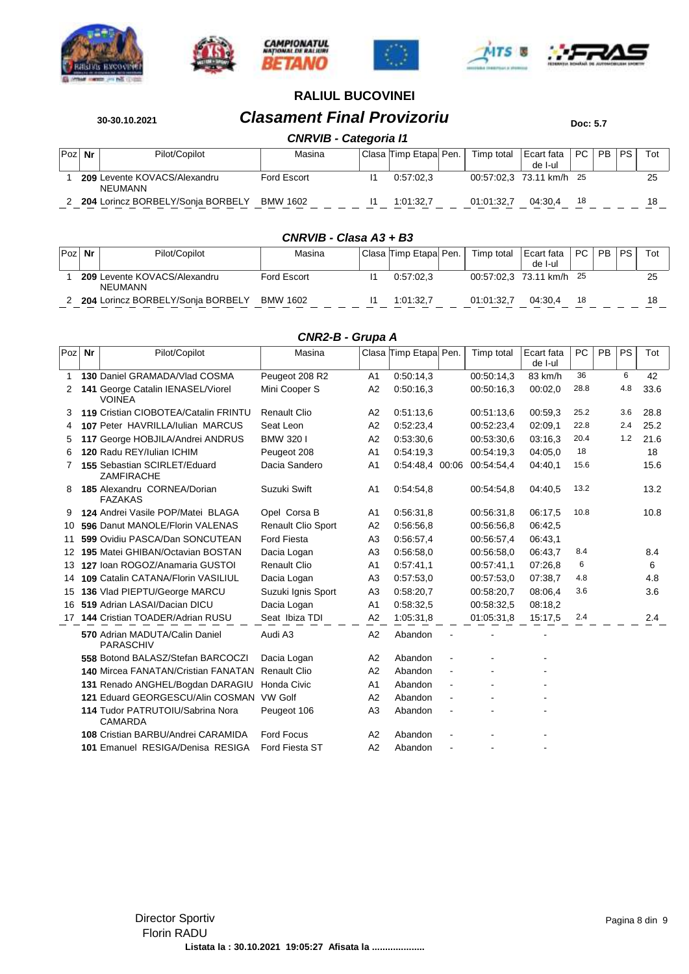









**30-30.10.2021 Clasament Final Provizoriu Doc: 5.7** 

|          | CNRVIB - Categoria I1 |                                         |                 |  |                          |  |            |                          |     |           |           |     |  |
|----------|-----------------------|-----------------------------------------|-----------------|--|--------------------------|--|------------|--------------------------|-----|-----------|-----------|-----|--|
| $Poz$ Nr |                       | Pilot/Copilot                           | Masina          |  | 'Clasa  Timp Etapa  Pen. |  | Timp total | Ecart fata<br>de I-ul    | PC. | <b>PB</b> | <b>PS</b> | Tot |  |
|          |                       | 209 Levente KOVACS/Alexandru<br>NEUMANN | Ford Escort     |  | 0.57:02.3                |  |            | 00:57:02.3 73.11 km/h 25 |     |           |           |     |  |
|          |                       | 204 Lorincz BORBELY/Sonja BORBELY       | <b>BMW 1602</b> |  | 1:01:32.7                |  | 01:01:32.7 | 04:30.4                  | 18  |           |           |     |  |

| CNRVIB - Clasa A3 + B3 |  |  |  |
|------------------------|--|--|--|
|------------------------|--|--|--|

| $Poz$ Nr | Pilot/Copilot                           | Masina          | Clasa   Timp Etapa   Pen. | Timp total | Ecart fata<br>de I-ul    | PC. | <b>PB</b> | <b>PS</b> | Tot |
|----------|-----------------------------------------|-----------------|---------------------------|------------|--------------------------|-----|-----------|-----------|-----|
|          | 209 Levente KOVACS/Alexandru<br>NEUMANN | Ford Escort     | 0.57:02.3                 |            | 00:57:02.3 73.11 km/h 25 |     |           |           | 25  |
|          | 204 Lorincz BORBELY/Sonia BORBELY       | <b>BMW 1602</b> | 1:01:32.7                 | 01:01:32.7 | 04:30.4                  | 18  |           |           |     |

#### *CNR2-B - Grupa A*

| Poz | Nr | Pilot/Copilot                                      | Masina                    |                | Clasa Timp Etapa Pen. |                | Timp total | Ecart fata<br>de I-ul | PC   | PB | PS  | Tot  |
|-----|----|----------------------------------------------------|---------------------------|----------------|-----------------------|----------------|------------|-----------------------|------|----|-----|------|
| 1   |    | 130 Daniel GRAMADA/Vlad COSMA                      | Peugeot 208 R2            | A1             | 0:50:14.3             |                | 00:50:14,3 | 83 km/h               | 36   |    | 6   | 42   |
| 2   |    | 141 George Catalin IENASEL/Viorel<br><b>VOINEA</b> | Mini Cooper S             | A <sub>2</sub> | 0:50:16.3             |                | 00:50:16.3 | 00:02,0               | 28.8 |    | 4.8 | 33.6 |
| З   |    | 119 Cristian CIOBOTEA/Catalin FRINTU               | <b>Renault Clio</b>       | A <sub>2</sub> | 0:51:13.6             |                | 00:51:13.6 | 00:59,3               | 25.2 |    | 3.6 | 28.8 |
| 4   |    | 107 Peter HAVRILLA/Iulian MARCUS                   | Seat Leon                 | A2             | 0:52:23.4             |                | 00:52:23,4 | 02:09.1               | 22.8 |    | 2.4 | 25.2 |
| 5   |    | 117 George HOBJILA/Andrei ANDRUS                   | BMW 320 I                 | A <sub>2</sub> | 0:53:30,6             |                | 00:53:30.6 | 03:16.3               | 20.4 |    | 1.2 | 21.6 |
| 6   |    | 120 Radu REY/Julian ICHIM                          | Peugeot 208               | A <sub>1</sub> | 0:54:19.3             |                | 00:54:19.3 | 04:05.0               | 18   |    |     | 18   |
| 7   |    | 155 Sebastian SCIRLET/Eduard<br><b>ZAMFIRACHE</b>  | Dacia Sandero             | A <sub>1</sub> | 0:54:48.4 00:06       |                | 00:54:54.4 | 04:40.1               | 15.6 |    |     | 15.6 |
| 8   |    | 185 Alexandru CORNEA/Dorian<br><b>FAZAKAS</b>      | Suzuki Swift              | A <sub>1</sub> | 0.54.54.8             |                | 00:54:54.8 | 04:40,5               | 13.2 |    |     | 13.2 |
| 9   |    | 124 Andrei Vasile POP/Matei BLAGA                  | Opel Corsa B              | A <sub>1</sub> | 0.56.31,8             |                | 00:56:31,8 | 06:17.5               | 10.8 |    |     | 10.8 |
| 10  |    | 596 Danut MANOLE/Florin VALENAS                    | <b>Renault Clio Sport</b> | A2             | 0:56:56.8             |                | 00:56:56.8 | 06:42,5               |      |    |     |      |
| 11  |    | 599 Ovidiu PASCA/Dan SONCUTEAN                     | <b>Ford Fiesta</b>        | A <sub>3</sub> | 0:56:57.4             |                | 00:56:57.4 | 06:43.1               |      |    |     |      |
| 12  |    | 195 Matei GHIBAN/Octavian BOSTAN                   | Dacia Logan               | A <sub>3</sub> | 0:56:58.0             |                | 00:56:58.0 | 06:43,7               | 8.4  |    |     | 8.4  |
| 13  |    | 127 Ioan ROGOZ/Anamaria GUSTOI                     | <b>Renault Clio</b>       | A <sub>1</sub> | 0.57:41,1             |                | 00:57:41.1 | 07:26.8               | 6    |    |     | 6    |
| 14  |    | 109 Catalin CATANA/Florin VASILIUL                 | Dacia Logan               | A <sub>3</sub> | 0:57:53.0             |                | 00:57:53.0 | 07:38.7               | 4.8  |    |     | 4.8  |
| 15  |    | 136 Vlad PIEPTU/George MARCU                       | Suzuki Ignis Sport        | A <sub>3</sub> | 0:58:20.7             |                | 00:58:20,7 | 08:06.4               | 3.6  |    |     | 3.6  |
| 16  |    | 519 Adrian LASAI/Dacian DICU                       | Dacia Logan               | A <sub>1</sub> | 0:58:32,5             |                | 00:58:32,5 | 08:18,2               |      |    |     |      |
|     |    | 17 144 Cristian TOADER/Adrian RUSU                 | Seat Ibiza TDI            | A <sub>2</sub> | 1:05:31,8             |                | 01:05:31.8 | 15:17,5               | 2.4  |    |     | 2.4  |
|     |    | 570 Adrian MADUTA/Calin Daniel<br>PARASCHIV        | Audi A3                   | A <sub>2</sub> | Abandon               |                |            |                       |      |    |     |      |
|     |    | 558 Botond BALASZ/Stefan BARCOCZI                  | Dacia Logan               | A <sub>2</sub> | Abandon               |                |            |                       |      |    |     |      |
|     |    | 140 Mircea FANATAN/Cristian FANATAN                | <b>Renault Clio</b>       | A2             | Abandon               | ä,             |            |                       |      |    |     |      |
|     |    | 131 Renado ANGHEL/Bogdan DARAGIU                   | Honda Civic               | A <sub>1</sub> | Abandon               | $\overline{a}$ |            |                       |      |    |     |      |
|     |    | 121 Eduard GEORGESCU/Alin COSMAN                   | <b>VW Golf</b>            | A2             | Abandon               |                |            |                       |      |    |     |      |
|     |    | 114 Tudor PATRUTOIU/Sabrina Nora<br><b>CAMARDA</b> | Peugeot 106               | A <sub>3</sub> | Abandon               |                |            |                       |      |    |     |      |
|     |    | 108 Cristian BARBU/Andrei CARAMIDA                 | <b>Ford Focus</b>         | A2             | Abandon               |                |            |                       |      |    |     |      |
|     |    | 101 Emanuel RESIGA/Denisa RESIGA                   | Ford Fiesta ST            | A2             | Abandon               |                |            |                       |      |    |     |      |